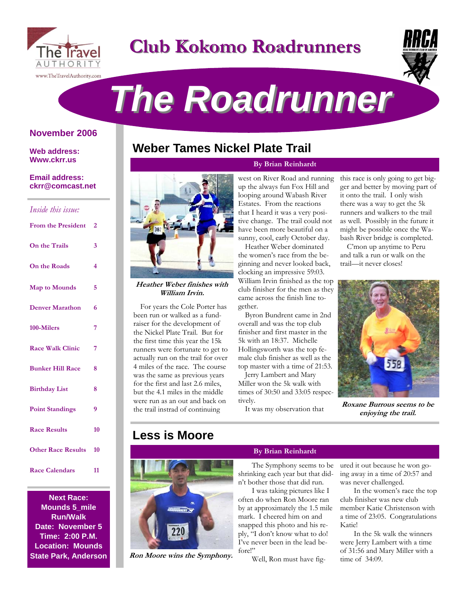

# **Club Kokomo Roadrunners Club Kokomo Roadrunners**



# *The Roadrunner The Roadrunner*

### **November 2006**

**Web address: Www.ckrr.us** 

### **Email address: ckrr@comcast.net**

| Inside this issue:        |                |
|---------------------------|----------------|
| <b>From the President</b> | $\overline{2}$ |
| On the Trails             | 3              |
| On the Roads              | 4              |
| <b>Map to Mounds</b>      | 5              |
| <b>Denver Marathon</b>    | 6              |
| 100-Milers                | 7              |
| <b>Race Walk Clinic</b>   | 7              |
| <b>Bunker Hill Race</b>   | 8              |
| <b>Birthday List</b>      | 8              |
| <b>Point Standings</b>    | 9              |
| <b>Race Results</b>       | 10             |
| <b>Other Race Results</b> | 10             |
| <b>Race Calendars</b>     | 11             |

**Next Race: Mounds 5\_mile Run/Walk Date: November 5 Time: 2:00 P.M. Location: Mounds State Park, Anderson** 

# **Weber Tames Nickel Plate Trail**

### **By Brian Reinhardt**

**Heather Weber finishes with William Irvin.** 

For years the Cole Porter has been run or walked as a fundraiser for the development of the Nickel Plate Trail. But for the first time this year the 15k runners were fortunate to get to actually run on the trail for over 4 miles of the race. The course was the same as previous years for the first and last 2.6 miles, but the 4.1 miles in the middle were run as an out and back on the trail instrad of continuing

west on River Road and running up the always fun Fox Hill and looping around Wabash River Estates. From the reactions that I heard it was a very positive change. The trail could not have been more beautiful on a sunny, cool, early October day.

Heather Weber dominated the women's race from the beginning and never looked back, clocking an impressive 59:03. William Irvin finished as the top club finisher for the men as they came across the finish line together.

Byron Bundrent came in 2nd overall and was the top club finisher and first master in the 5k with an 18:37. Michelle Hollingsworth was the top female club finisher as well as the top master with a time of 21:53.

Jerry Lambert and Mary Miller won the 5k walk with times of 30:50 and 33:05 respectively.

It was my observation that

this race is only going to get bigger and better by moving part of it onto the trail. I only wish there was a way to get the 5k runners and walkers to the trail as well. Possibly in the future it might be possible once the Wabash River bridge is completed.

C'mon up anytime to Peru and talk a run or walk on the trail—it never closes!



**Roxane Burrous seems to be enjoying the trail.** 

# **Less is Moore**



**Ron Moore wins the Symphony.** 

### **By Brian Reinhardt**

The Symphony seems to be shrinking each year but that didn't bother those that did run.

I was taking pictures like I often do when Ron Moore ran by at approximately the 1.5 mile mark. I cheered him on and snapped this photo and his reply, "I don't know what to do! I've never been in the lead before!"

Well, Ron must have fig-

ured it out because he won going away in a time of 20:57 and was never challenged.

In the women's race the top club finisher was new club member Katie Christenson with a time of 23:05. Congratulations Katie!

In the 5k walk the winners were Jerry Lambert with a time of 31:56 and Mary Miller with a time of 34:09.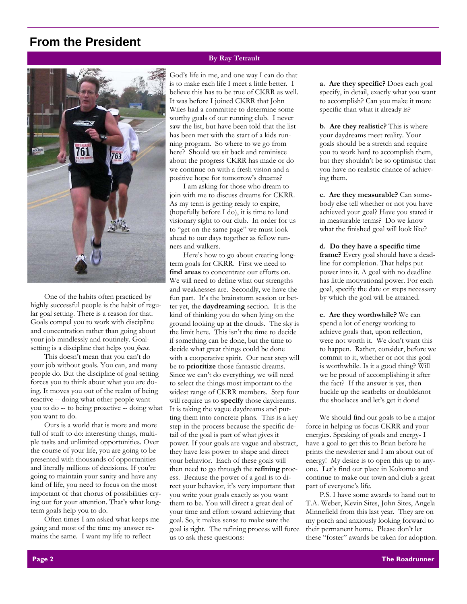## **From the President**



One of the habits often practiced by highly successful people is the habit of regular goal setting. There is a reason for that. Goals compel you to work with discipline and concentration rather than going about your job mindlessly and routinely. Goalsetting is a discipline that helps you *focus*.

This doesn't mean that you can't do your job without goals. You can, and many people do. But the discipline of goal setting forces you to think about what you are doing. It moves you out of the realm of being reactive -- doing what other people want you to do -- to being proactive -- doing what you want to do.

Ours is a world that is more and more full of stuff to do: interesting things, multiple tasks and unlimited opportunities. Over the course of your life, you are going to be presented with thousands of opportunities and literally millions of decisions. If you're going to maintain your sanity and have any kind of life, you need to focus on the most important of that chorus of possibilities crying out for your attention. That's what longterm goals help you to do.

Often times I am asked what keeps me going and most of the time my answer remains the same. I want my life to reflect

### **By Ray Tetrault**

God's life in me, and one way I can do that is to make each life I meet a little better. I believe this has to be true of CKRR as well. It was before I joined CKRR that John Wiles had a committee to determine some worthy goals of our running club. I never saw the list, but have been told that the list has been met with the start of a kids running program. So where to we go from here? Should we sit back and reminisce about the progress CKRR has made or do we continue on with a fresh vision and a positive hope for tomorrow's dreams?

I am asking for those who dream to join with me to discuss dreams for CKRR. As my term is getting ready to expire, (hopefully before I do), it is time to lend visionary sight to our club. In order for us to "get on the same page" we must look ahead to our days together as fellow runners and walkers.

Here's how to go about creating longterm goals for CKRR. First we need to **find areas** to concentrate our efforts on. We will need to define what our strengths and weaknesses are. Secondly, we have the fun part. It's the brainstorm session or better yet, the **daydreaming** section. It is the kind of thinking you do when lying on the ground looking up at the clouds. The sky is the limit here. This isn't the time to decide if something can be done, but the time to decide what great things could be done with a cooperative spirit. Our next step will be to **prioritize** those fantastic dreams. Since we can't do everything, we will need to select the things most important to the widest range of CKRR members. Step four will require us to **specify** those daydreams. It is taking the vague daydreams and putting them into concrete plans. This is a key step in the process because the specific detail of the goal is part of what gives it power. If your goals are vague and abstract, they have less power to shape and direct your behavior. Each of these goals will then need to go through the **refining** process. Because the power of a goal is to direct your behavior, it's very important that you write your goals exactly as you want them to be. You will direct a great deal of your time and effort toward achieving that goal. So, it makes sense to make sure the goal is right. The refining process will force us to ask these questions:

**a. Are they specific?** Does each goal specify, in detail, exactly what you want to accomplish? Can you make it more specific than what it already is?

**b. Are they realistic?** This is where your daydreams meet reality. Your goals should be a stretch and require you to work hard to accomplish them, but they shouldn't be so optimistic that you have no realistic chance of achieving them.

**c. Are they measurable?** Can somebody else tell whether or not you have achieved your goal? Have you stated it in measurable terms? Do we know what the finished goal will look like?

**d. Do they have a specific time frame?** Every goal should have a deadline for completion. That helps put power into it. A goal with no deadline has little motivational power. For each goal, specify the date or steps necessary by which the goal will be attained.

**e. Are they worthwhile?** We can spend a lot of energy working to achieve goals that, upon reflection, were not worth it. We don't want this to happen. Rather, consider, before we commit to it, whether or not this goal is worthwhile. Is it a good thing? Will we be proud of accomplishing it after the fact? If the answer is yes, then buckle up the seatbelts or doubleknot the shoelaces and let's get it done!

We should find our goals to be a major force in helping us focus CKRR and your energies. Speaking of goals and energy- I have a goal to get this to Brian before he prints the newsletter and I am about out of energy! My desire is to open this up to anyone. Let's find our place in Kokomo and continue to make our town and club a great part of everyone's life.

P.S. I have some awards to hand out to T.A. Weber, Kevin Sites, John Sites, Angela Minnefield from this last year. They are on my porch and anxiously looking forward to their permanent home. Please don't let these "foster" awards be taken for adoption.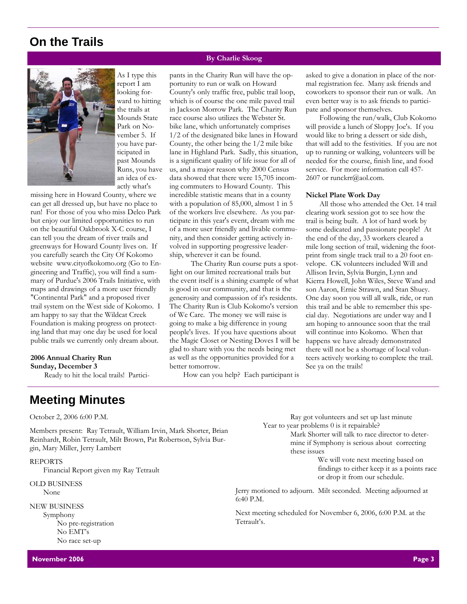# **On the Trails**



As I type this report I am looking forward to hitting the trails at Mounds State Park on November 5. If you have participated in past Mounds Runs, you have an idea of exactly what's

missing here in Howard County, where we can get all dressed up, but have no place to run! For those of you who miss Delco Park but enjoy our limited opportunities to run on the beautiful Oakbrook X-C course, I can tell you the dream of river trails and greenways for Howard County lives on. If you carefully search the City Of Kokomo website www.cityofkokomo.org (Go to Engineering and Traffic), you will find a summary of Purdue's 2006 Trails Initiative, with maps and drawings of a more user friendly "Continental Park" and a proposed river trail system on the West side of Kokomo. I am happy to say that the Wildcat Creek Foundation is making progress on protecting land that may one day be used for local public trails we currently only dream about.

#### **2006 Annual Charity Run Sunday, December 3**

Ready to hit the local trails! Partici-

**Meeting Minutes** 

October 2, 2006 6:00 P.M.

Members present: Ray Tetrault, William Irvin, Mark Shorter, Brian Reinhardt, Robin Tetrault, Milt Brown, Pat Robertson, Sylvia Burgin, Mary Miller, Jerry Lambert

#### REPORTS

Financial Report given my Ray Tetrault

OLD BUSINESS None

NEW BUSINESS Symphony No pre-registration

No EMT's No race set-up

### **By Charlie Skoog**

pants in the Charity Run will have the opportunity to run or walk on Howard County's only traffic free, public trail loop, which is of course the one mile paved trail in Jackson Morrow Park. The Charity Run race course also utilizes the Webster St. bike lane, which unfortunately comprises 1/2 of the designated bike lanes in Howard County, the other being the 1/2 mile bike lane in Highland Park. Sadly, this situation, is a significant quality of life issue for all of us, and a major reason why 2000 Census data showed that there were 15,705 incoming commuters to Howard County. This incredible statistic means that in a county with a population of 85,000, almost 1 in 5 of the workers live elsewhere. As you participate in this year's event, dream with me of a more user friendly and livable community, and then consider getting actively involved in supporting progressive leadership, wherever it can be found.

 The Charity Run course puts a spotlight on our limited recreational trails but the event itself is a shining example of what is good in our community, and that is the generosity and compassion of it's residents. The Charity Run is Club Kokomo's version of We Care. The money we will raise is going to make a big difference in young people's lives. If you have questions about the Magic Closet or Nesting Doves I will be glad to share with you the needs being met as well as the opportunities provided for a better tomorrow.

How can you help? Each participant is

asked to give a donation in place of the normal registration fee. Many ask friends and coworkers to sponsor their run or walk. An even better way is to ask friends to participate and sponsor themselves.

Following the run/walk, Club Kokomo will provide a lunch of Sloppy Joe's. If you would like to bring a dessert or side dish, that will add to the festivities. If you are not up to running or walking, volunteers will be needed for the course, finish line, and food service. For more information call 457- 2607 or runckrr@aol.com.

#### **Nickel Plate Work Day**

All those who attended the Oct. 14 trail clearing work session got to see how the trail is being built. A lot of hard work by some dedicated and passionate people! At the end of the day, 33 workers cleared a mile long section of trail, widening the footprint from single track trail to a 20 foot envelope. CK volunteers included Will and Allison Irvin, Sylvia Burgin, Lynn and Kierra Howell, John Wiles, Steve Wand and son Aaron, Ernie Strawn, and Stan Shuey. One day soon you will all walk, ride, or run this trail and be able to remember this special day. Negotiations are under way and I am hoping to announce soon that the trail will continue into Kokomo. When that happens we have already demonstrated there will not be a shortage of local volunteers actively working to complete the trail. See ya on the trails!

 Ray got volunteers and set up last minute Year to year problems 0 is it repairable?

Mark Shorter will talk to race director to determine if Symphony is serious about correcting these issues

> We will vote next meeting based on findings to either keep it as a points race or drop it from our schedule.

Jerry motioned to adjourn. Milt seconded. Meeting adjourned at 6:40 P.M.

Next meeting scheduled for November 6, 2006, 6:00 P.M. at the Tetrault's.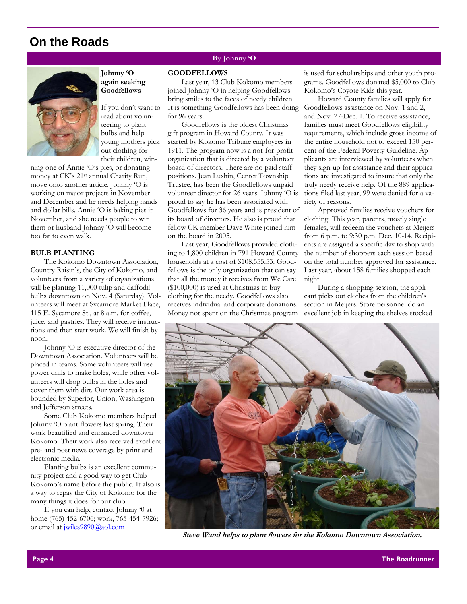## **On the Roads**



**Johnny 'O again seeking Goodfellows** 

If you don't want to read about volunteering to plant bulbs and help young mothers pick out clothing for their children, win-

ning one of Annie 'O's pies, or donating money at CK's 21st annual Charity Run, move onto another article. Johnny 'O is working on major projects in November and December and he needs helping hands and dollar bills. Annie 'O is baking pies in November, and she needs people to win them or husband Johnny 'O will become too fat to even walk.

### **BULB PLANTING**

The Kokomo Downtown Association, Country Raisin's, the City of Kokomo, and volunteers from a variety of organizations will be planting 11,000 tulip and daffodil bulbs downtown on Nov. 4 (Saturday). Volunteers will meet at Sycamore Market Place, 115 E. Sycamore St., at 8 a.m. for coffee, juice, and pastries. They will receive instructions and then start work. We will finish by noon.

Johnny 'O is executive director of the Downtown Association. Volunteers will be placed in teams. Some volunteers will use power drills to make holes, while other volunteers will drop bulbs in the holes and cover them with dirt. Our work area is bounded by Superior, Union, Washington and Jefferson streets.

Some Club Kokomo members helped Johnny 'O plant flowers last spring. Their work beautified and enhanced downtown Kokomo. Their work also received excellent pre- and post news coverage by print and electronic media.

Planting bulbs is an excellent community project and a good way to get Club Kokomo's name before the public. It also is a way to repay the City of Kokomo for the many things it does for our club.

If you can help, contact Johnny '0 at home (765) 452-6706; work, 765-454-7926; or email at jwiles9890@aol.com

### **By Johnny 'O**

#### **GOODFELLOWS**

Last year, 13 Club Kokomo members joined Johnny 'O in helping Goodfellows bring smiles to the faces of needy children. It is something Goodfellows has been doing for 96 years.

Goodfellows is the oldest Christmas gift program in Howard County. It was started by Kokomo Tribune employees in 1911. The program now is a not-for-profit organization that is directed by a volunteer board of directors. There are no paid staff positions. Jean Lushin, Center Township Trustee, has been the Goodfellows unpaid volunteer director for 26 years. Johnny 'O is proud to say he has been associated with Goodfellows for 36 years and is president of its board of directors. He also is proud that fellow CK member Dave White joined him on the board in 2005.

Last year, Goodfellows provided clothing to 1,800 children in 791 Howard County households at a cost of \$108,555.53. Goodfellows is the only organization that can say that all the money it receives from We Care (\$100,000) is used at Christmas to buy clothing for the needy. Goodfellows also receives individual and corporate donations. Money not spent on the Christmas program is used for scholarships and other youth programs. Goodfellows donated \$5,000 to Club Kokomo's Coyote Kids this year.

Howard County families will apply for Goodfellows assistance on Nov. 1 and 2, and Nov. 27-Dec. 1. To receive assistance, families must meet Goodfellows eligibility requirements, which include gross income of the entire household not to exceed 150 percent of the Federal Poverty Guideline. Applicants are interviewed by volunteers when they sign-up for assistance and their applications are investigated to insure that only the truly needy receive help. Of the 889 applications filed last year, 99 were denied for a variety of reasons.

Approved families receive vouchers for clothing. This year, parents, mostly single females, will redeem the vouchers at Meijers from 6 p.m. to 9:30 p.m. Dec. 10-14. Recipients are assigned a specific day to shop with the number of shoppers each session based on the total number approved for assistance. Last year, about 158 families shopped each night.

During a shopping session, the applicant picks out clothes from the children's section in Meijers. Store personnel do an excellent job in keeping the shelves stocked



**Steve Wand helps to plant flowers for the Kokomo Downtown Association.**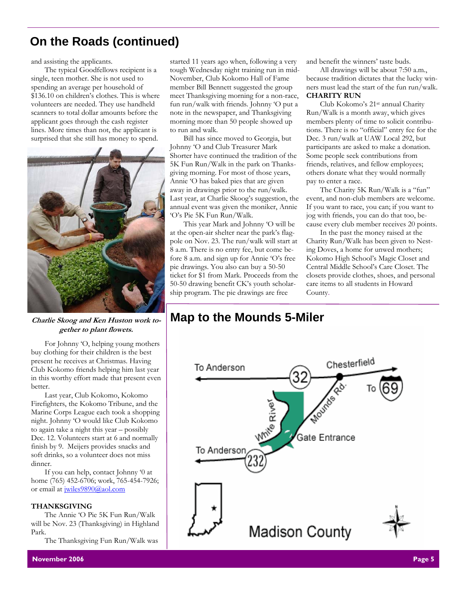# **On the Roads (continued)**

and assisting the applicants.

The typical Goodfellows recipient is a single, teen mother. She is not used to spending an average per household of \$136.10 on children's clothes. This is where volunteers are needed. They use handheld scanners to total dollar amounts before the applicant goes through the cash register lines. More times than not, the applicant is surprised that she still has money to spend.



**Charlie Skoog and Ken Huston work together to plant flowets.** 

For Johnny 'O, helping young mothers buy clothing for their children is the best present he receives at Christmas. Having Club Kokomo friends helping him last year in this worthy effort made that present even better.

Last year, Club Kokomo, Kokomo Firefighters, the Kokomo Tribune, and the Marine Corps League each took a shopping night. Johnny 'O would like Club Kokomo to again take a night this year – possibly Dec. 12. Volunteers start at 6 and normally finish by 9. Meijers provides snacks and soft drinks, so a volunteer does not miss dinner.

If you can help, contact Johnny '0 at home (765) 452-6706; work, 765-454-7926; or email at jwiles9890@aol.com

### **THANKSGIVING**

The Annie 'O Pie 5K Fun Run/Walk will be Nov. 23 (Thanksgiving) in Highland Park.

The Thanksgiving Fun Run/Walk was

started 11 years ago when, following a very tough Wednesday night training run in mid-November, Club Kokomo Hall of Fame member Bill Bennett suggested the group meet Thanksgiving morning for a non-race, fun run/walk with friends. Johnny 'O put a note in the newspaper, and Thanksgiving morning more than 50 people showed up to run and walk.

Bill has since moved to Georgia, but Johnny 'O and Club Treasurer Mark Shorter have continued the tradition of the 5K Fun Run/Walk in the park on Thanksgiving morning. For most of those years, Annie 'O has baked pies that are given away in drawings prior to the run/walk. Last year, at Charlie Skoog's suggestion, the annual event was given the moniker, Annie 'O's Pie 5K Fun Run/Walk.

This year Mark and Johnny 'O will be at the open-air shelter near the park's flagpole on Nov. 23. The run/walk will start at 8 a.m. There is no entry fee, but come before 8 a.m. and sign up for Annie 'O's free pie drawings. You also can buy a 50-50 ticket for \$1 from Mark. Proceeds from the 50-50 drawing benefit CK's youth scholarship program. The pie drawings are free

and benefit the winners' taste buds.

All drawings will be about 7:50 a.m., because tradition dictates that the lucky winners must lead the start of the fun run/walk. **CHARITY RUN** 

Club Kokomo's 21st annual Charity Run/Walk is a month away, which gives members plenty of time to solicit contributions. There is no "official" entry fee for the Dec. 3 run/walk at UAW Local 292, but participants are asked to make a donation. Some people seek contributions from friends, relatives, and fellow employees; others donate what they would normally pay to enter a race.

The Charity 5K Run/Walk is a "fun" event, and non-club members are welcome. If you want to race, you can; if you want to jog with friends, you can do that too, because every club member receives 20 points.

In the past the money raised at the Charity Run/Walk has been given to Nesting Doves, a home for unwed mothers; Kokomo High School's Magic Closet and Central Middle School's Care Closet. The closets provide clothes, shoes, and personal care items to all students in Howard County.

# **Map to the Mounds 5-Miler**

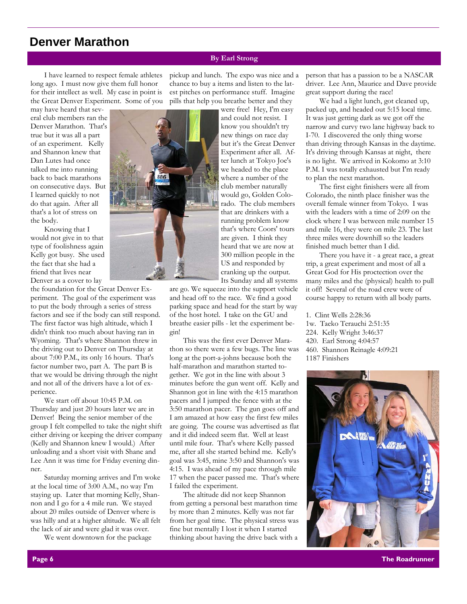## **Denver Marathon**

### **By Earl Strong**

I have learned to respect female athletes long ago. I must now give them full honor for their intellect as well. My case in point is the Great Denver Experiment. Some of you

may have heard that several club members ran the Denver Marathon. That's true but it was all a part of an experiment. Kelly and Shannon knew that Dan Lutes had once talked me into running back to back marathons on consecutive days. But I learned quickly to not do that again. After all that's a lot of stress on the body.

Knowing that I would not give in to that type of foolishness again Kelly got busy. She used the fact that she had a friend that lives near Denver as a cover to lay

the foundation for the Great Denver Experiment. The goal of the experiment was to put the body through a series of stress factors and see if the body can still respond. The first factor was high altitude, which I didn't think too much about having ran in Wyoming. That's where Shannon threw in the driving out to Denver on Thursday at about 7:00 P.M., its only 16 hours. That's factor number two, part A. The part B is that we would be driving through the night and not all of the drivers have a lot of experience.

We start off about 10:45 P.M. on Thursday and just 20 hours later we are in Denver! Being the senior member of the group I felt compelled to take the night shift either driving or keeping the driver company (Kelly and Shannon knew I would.) After unloading and a short visit with Shane and Lee Ann it was time for Friday evening dinner.

Saturday morning arrives and I'm woke at the local time of 3:00 A.M., no way I'm staying up. Later that morning Kelly, Shannon and I go for a 4 mile run. We stayed about 20 miles outside of Denver where is was hilly and at a higher altitude. We all felt the lack of air and were glad it was over.

We went downtown for the package

pickup and lunch. The expo was nice and a chance to buy a items and listen to the latest pitches on performance stuff. Imagine pills that help you breathe better and they

> were free! Hey, I'm easy and could not resist. I know you shouldn't try new things on race day but it's the Great Denver Experiment after all. After lunch at Tokyo Joe's we headed to the place where a number of the club member naturally would go, Golden Colorado. The club members that are drinkers with a running problem know that's where Coors' tours are given. I think they heard that we are now at 300 million people in the US and responded by cranking up the output. Its Sunday and all systems

are go. We squeeze into the support vehicle and head off to the race. We find a good parking space and head for the start by way of the host hotel. I take on the GU and breathe easier pills - let the experiment begin!

This was the first ever Denver Marathon so there were a few bugs. The line was long at the port-a-johns because both the half-marathon and marathon started together. We got in the line with about 3 minutes before the gun went off. Kelly and Shannon got in line with the 4:15 marathon pacers and I jumped the fence with at the 3:50 marathon pacer. The gun goes off and I am amazed at how easy the first few miles are going. The course was advertised as flat and it did indeed seem flat. Well at least until mile four. That's where Kelly passed me, after all she started behind me. Kelly's goal was 3:45, mine 3:50 and Shannon's was 4:15. I was ahead of my pace through mile 17 when the pacer passed me. That's where I failed the experiment.

The altitude did not keep Shannon from getting a personal best marathon time by more than 2 minutes. Kelly was not far from her goal time. The physical stress was fine but mentally I lost it when I started thinking about having the drive back with a

person that has a passion to be a NASCAR driver. Lee Ann, Maurice and Dave provide great support during the race!

We had a light lunch, got cleaned up, packed up, and headed out 5:15 local time. It was just getting dark as we got off the narrow and curvy two lane highway back to I-70. I discovered the only thing worse than driving through Kansas in the daytime. It's driving through Kansas at night, there is no light. We arrived in Kokomo at 3:10 P.M. I was totally exhausted but I'm ready to plan the next marathon.

The first eight finishers were all from Colorado, the ninth place finisher was the overall female winner from Tokyo. I was with the leaders with a time of 2:09 on the clock where I was between mile number 15 and mile 16, they were on mile 23. The last three miles were downhill so the leaders finished much better than I did.

There you have it - a great race, a great trip, a great experiment and most of all a Great God for His proctection over the many miles and the (physical) health to pull it off! Several of the road crew were of course happy to return with all body parts.

1. Clint Wells 2:28:36 1w. Taeko Terauchi 2:51:35 224. Kelly Wright 3:46:37 420. Earl Strong 4:04:57 460. Shannon Reinagle 4:09:21 1187 Finishers

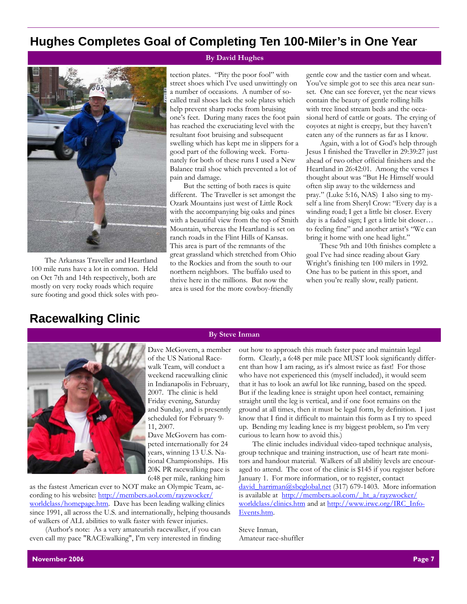# **Hughes Completes Goal of Completing Ten 100-Miler's in One Year**



The Arkansas Traveller and Heartland 100 mile runs have a lot in common. Held on Oct 7th and 14th respectively, both are mostly on very rocky roads which require sure footing and good thick soles with pro-

### **By David Hughes**

tection plates. "Pity the poor fool" with street shoes which I've used unwittingly on a number of occasions. A number of socalled trail shoes lack the sole plates which help prevent sharp rocks from bruising one's feet. During many races the foot pain has reached the excruciating level with the resultant foot bruising and subsequent swelling which has kept me in slippers for a good part of the following week. Fortunately for both of these runs I used a New Balance trail shoe which prevented a lot of pain and damage.

But the setting of both races is quite different. The Traveller is set amongst the Ozark Mountains just west of Little Rock with the accompanying big oaks and pines with a beautiful view from the top of Smith Mountain, whereas the Heartland is set on ranch roads in the Flint Hills of Kansas. This area is part of the remnants of the great grassland which stretched from Ohio to the Rockies and from the south to our northern neighbors. The buffalo used to thrive here in the millions. But now the area is used for the more cowboy-friendly

**By Steve Inman** 

gentle cow and the tastier corn and wheat. You've simple got to see this area near sunset. One can see forever, yet the near views contain the beauty of gentle rolling hills with tree lined stream beds and the occasional herd of cattle or goats. The crying of coyotes at night is creepy, but they haven't eaten any of the runners as far as I know.

Again, with a lot of God's help through Jesus I finished the Traveller in 29:39:27 just ahead of two other official finishers and the Heartland in 26:42:01. Among the verses I thought about was "But He Himself would often slip away to the wilderness and pray." (Luke 5:16, NAS) I also sing to myself a line from Sheryl Crow: "Every day is a winding road; I get a little bit closer. Every day is a faded sign; I get a little bit closer… to feeling fine" and another artist's "We can bring it home with one head light."

These 9th and 10th finishes complete a goal I've had since reading about Gary Wright's finishing ten 100 milers in 1992. One has to be patient in this sport, and when you're really slow, really patient.

# **Racewalking Clinic**



Dave McGovern, a member of the US National Racewalk Team, will conduct a weekend racewalking clinic in Indianapolis in February, 2007. The clinic is held Friday evening, Saturday and Sunday, and is presently scheduled for February 9- 11, 2007.

Dave McGovern has competed internationally for 24 years, winning 13 U.S. National Championships. His 20K PR racewalking pace is 6:48 per mile, ranking him

as the fastest American ever to NOT make an Olympic Team, according to his website: http://members.aol.com/rayzwocker/ worldclass/homepage.htm. Dave has been leading walking clinics since 1991, all across the U.S. and internationally, helping thousands of walkers of ALL abilities to walk faster with fewer injuries.

 (Author's note: As a very amateurish racewalker, if you can even call my pace "RACEwalking", I'm very interested in finding out how to approach this much faster pace and maintain legal form. Clearly, a 6:48 per mile pace MUST look significantly different than how I am racing, as it's almost twice as fast! For those who have not experienced this (myself included), it would seem that it has to look an awful lot like running, based on the speed. But if the leading knee is straight upon heel contact, remaining straight until the leg is vertical, and if one foot remains on the ground at all times, then it must be legal form, by definition. I just know that I find it difficult to maintain this form as I try to speed up. Bending my leading knee is my biggest problem, so I'm very

The clinic includes individual video-taped technique analysis, group technique and training instruction, use of heart rate monitors and handout material. Walkers of all abilitiy levels are encouraged to attend. The cost of the clinic is \$145 if you register before January 1. For more information, or to register, contact david harriman@sbcglobal.net (317) 679-1403. More information is available at http://members.aol.com/ ht\_a/rayzwocker/ worldclass/clinics.htm and at http://www.irwc.org/IRC\_Info-Events.htm.

Steve Inman, Amateur race-shuffler

curious to learn how to avoid this.)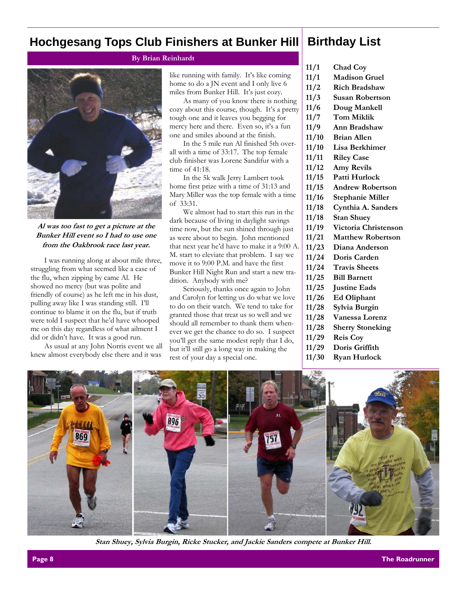### **Hochgesang Tops Club Finishers at Bunker Hill**

### **By Brian Reinhardt**



**Al was too fast to get a picture at the Bunker Hill event so I had to use one from the Oakbrook race last year.** 

I was running along at about mile three, struggling from what seemed like a case of the flu, when zipping by came Al. He showed no mercy (but was polite and friendly of course) as he left me in his dust, pulling away like I was standing still. I'll continue to blame it on the flu, but if truth were told I suspect that he'd have whooped me on this day regardless of what ailment I did or didn't have. It was a good run.

As usual at any John Norris event we all knew almost everybody else there and it was

like running with family. It's like coming home to do a JN event and I only live 6 miles from Bunker Hill. It's just cozy.

As many of you know there is nothing cozy about this course, though. It's a pretty tough one and it leaves you begging for mercy here and there. Even so, it's a fun one and smiles abound at the finish.

In the 5 mile run Al finished 5th overall with a time of 33:17. The top female club finisher was Lorene Sandifur with a time of 41:18.

In the 5k walk Jerry Lambert took home first prize with a time of 31:13 and Mary Miller was the top female with a time of 33:31.

We almost had to start this run in the dark because of living in daylight savings time now, but the sun shined through just as were about to begin. John mentioned that next year he'd have to make it a 9:00 A. M. start to eleviate that problem. I say we move it to 9:00 P.M. and have the first Bunker Hill Night Run and start a new tradition. Anybody with me?

Seriously, thanks once again to John and Carolyn for letting us do what we love to do on their watch. We tend to take for granted those that treat us so well and we should all remember to thank them whenever we get the chance to do so. I suspect you'll get the same modest reply that I do, but it'll still go a long way in making the rest of your day a special one.

### **Birthday List**

- **11/1 Chad Coy**
- **11/1 Madison Gruel**
- **11/2 Rich Bradshaw**
- **11/3 Susan Robertson**
- **11/6 Doug Mankell**
- **11/7 Tom Miklik**
- **11/9 Ann Bradshaw**
- **11/10 Brian Allen**
- **11/10 Lisa Berkhimer**
- **11/11 Riley Case**
- **11/12 Amy Revils**
- **11/15 Patti Hurlock** 
	-
- **11/15 Andrew Robertson**
- **11/16 Stephanie Miller**
- **11/18 Cynthia A. Sanders**
- **11/18 Stan Shuey**
- **11/19 Victoria Christenson**
- **11/21 Matthew Robertson**
- **11/23 Diana Anderson**
- **11/24 Doris Carden**
- **11/24 Travis Sheets**
- **11/25 Bill Barnett**
- **11/25 Justine Eads**
- **11/26 Ed Oliphant**
- **11/28 Sylvia Burgin**
- **11/28 Vanessa Lorenz**
- **11/28 Sherry Stoneking**
- **11/29 Reis Coy**
- **11/29 Doris Griffith**
- **11/30 Ryan Hurlock**



**Stan Shuey, Sylvia Burgin, Ricke Stucker, and Jackie Sanders compete at Bunker Hill.**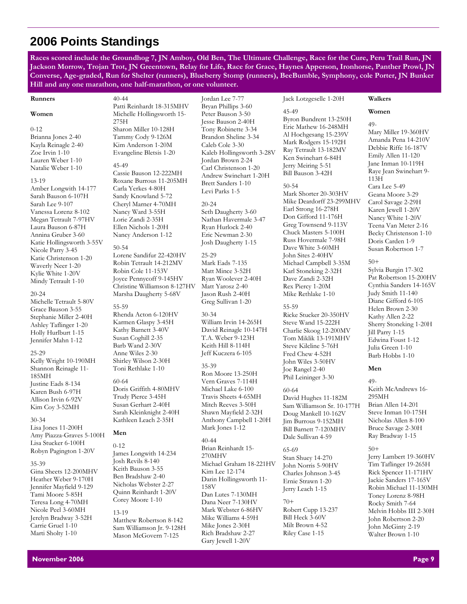# **2006 Points Standings**

**Races scored include the Groundhog 7, JN Amboy, Old Ben, The Ultimate Challenge, Race for the Cure, Peru Trail Run, JN Jackson Morrow, Trojan Trot, JN Greentown, Relay for Life, Race for Grace, Haynes Apperson, Ironhorse, Panther Prowl, JN Converse, Age-graded, Run for Shelter (runners), Blueberry Stomp (runners), BeeBumble, Symphony, cole Porter, JN Bunker Hill and any one marathon, one half-marathon, or one volunteer.** 

Jordan Lee 7-77

#### **Runners**

#### **Women**

#### 0-12

Brianna Jones 2-40 Kayla Reinagle 2-40 Zoe Irvin 1-10 Lauren Weber 1-10 Natalie Weber 1-10

#### 13-19

Amber Longwith 14-177 Sarah Bauson 6-107H Sarah Lee 9-107 Vanessa Lorenz 8-102 Megan Tetrault 7-97HV Laura Bauson 6-87H Annina Gruber 3-60 Katie Hollingsworth 3-55V Nicole Parry 3-45 Katie Christenson 1-20 Waverly Neer 1-20 Kylie White 1-20V Mindy Tetrault 1-10

#### 20-24

Michelle Tetrault 5-80V Grace Bauson 3-55 Stephanie Miller 2-40H Ashley Taflinger 1-20 Holly Hurlburt 1-15 Jennifer Mahn 1-12

#### 25-29

Kelly Wright 10-190MH Shannon Reinagle 11- 185MH Justine Eads 8-134 Karen Bush 6-97H Allison Irvin 6-92V Kim Coy 3-52MH

#### 30-34

Lisa Jones 11-200H Amy Piazza-Graves 5-100H Lisa Stucker 6-100H Robyn Pagington 1-20V

#### 35-39

Gina Sheets 12-200MHV Heather Weber 9-170H Jennifer Mayfield 9-129 Tami Moore 5-85H Teresa Long 4-70MH Nicole Peel 3-60MH Jerelyn Bradway 3-52H Carrie Gruel 1-10 Marti Sholty 1-10

Patti Reinhardt 18-315MHV Michelle Hollingsworth 15- 275H Sharon Miller 10-128H Tammy Cody 9-126M Kim Anderson 1-20M Evangeline Bletsis 1-20 45-49

Cassie Bauson 12-222MH Roxane Burrous 11-205MH Carla Yerkes 4-80H Sandy Knowland 5-72 Cheryl Marner 4-70MH Nancy Ward 3-55H Lorie Zandi 2-35H Ellen Nichols 1-20H Nancy Anderson 1-12

#### 50-54

40-44

Lorene Sandifur 22-420HV Robin Tetrault 14-212MV Robin Cole 11-153V Joyce Pennycoff 9-145HV Christine Williamson 8-127HV Marsha Daugherty 5-68V

#### 55-59 Rhenda Acton 6-120HV Karmen Glaspy 3-45H Kathy Barnett 3-40V Susan Coghill 2-35 Barb Wand 2-30V Anne Wiles 2-30 Shirley Wilson 2-30H Toni Rethlake 1-10

60-64 Doris Griffith 4-80MHV Trudy Pierce 3-45H Susan Gerhart 2-40H Sarah Kleinknight 2-40H Kathleen Leach 2-35H

#### **Men**

0-12 James Longwith 14-234 Josh Revils 8-140 Keith Bauson 3-55 Ben Bradshaw 2-40 Nicholas Webster 2-27 Quinn Reinhardt 1-20V Corey Moore 1-10

#### 13-19

Matthew Robertson 8-142 Sam Williamson Jr. 9-128H Mason McGovern 7-125

Bryan Phillips 3-60 Peter Bauson 3-50 Jesse Bauson 2-40H Tony Robinette 3-34 Brandon Sheline 3-34 Caleb Cole 3-30 Kaleb Hollingsworth 3-28V Jordan Brown 2-24 Carl Christenson 1-20 Andrew Swinehart 1-20H Brett Sanders 1-10 Levi Parks 1-5

20-24 Seth Daugherty 3-60 Nathan Havermale 3-47 Ryan Hurlock 2-40 Eric Newman 2-30 Josh Daugherty 1-15

25-29 Mark Eads 7-135 Matt Mince 3-52H Ryan Woolever 2-40H Matt Yarosz 2-40 Jason Rush 2-40H Greg Sullivan 1-20

30-34 William Irvin 14-265H David Reinagle 10-147H T.A. Weber 9-123H Keith Hill 8-114H Jeff Kuczera 6-105

#### 35-39 Ron Moore 13-250H Vern Graves 7-114H Michael Lake 6-100 Travis Sheets 4-65MH Mitch Reeves 3-50H Shawn Mayfield 2-32H Anthony Campbell 1-20H Mark Jones 1-12

40-44 Brian Reinhardt 15- 270MHV Michael Graham 18-221HV Kim Lee 12-174 Darin Hollingsworth 11- 158V Dan Lutes 7-130MH Dana Neer 7-130HV Mark Webster 6-86HV Mike Williams 4-59H Mike Jones 2-30H Rich Bradshaw 2-27 Gary Jewell 1-20V

Jack Lotzgeselle 1-20H

45-49 Byron Bundrent 13-250H Eric Mathew 16-248MH Al Hochgesang 15-239V Mark Rodgers 15-192H Ray Tetrault 13-182MV Ken Swinehart 6-84H Jerry Meiring 5-51 Bill Bauson 3-42H

#### 50-54

Mark Shorter 20-303HV Mike Deardorff 23-299MHV Earl Strong 16-278H Don Gifford 11-176H Greg Townsend 9-113V Chuck Masters 5-100H Russ Hovermale 7-98H Dave White 3-60MH John Sites 2-40HV Michael Campbell 3-35M Karl Stoneking 2-32H Dave Zandi 2-32H Rex Piercy 1-20M Mike Rethlake 1-10

55-59 Ricke Stucker 20-350HV Steve Wand 15-222H Charlie Skoog 12-200MV Tom Miklik 13-191MHV Steve Kilcline 5-76H Fred Chew 4-52H John Wiles 3-50HV Joe Rangel 2-40 Phil Leininger 3-30

60-64 David Hughes 11-182M Sam Williamson Sr. 10-177H Doug Mankell 10-162V Jim Burrous 9-152MH Bill Barnett 7-120MHV Dale Sullivan 4-59

#### 65-69 Stan Shuey 14-270 John Norris 5-90HV Charles Johnson 3-45 Ernie Strawn 1-20 Jerry Leach 1-15

### 70+

Robert Cupp 13-237 Bill Heck 3-60V Milt Brown 4-52 Riley Case 1-15

### **Walkers Women**

49- Mary Miller 19-360HV Amanda Pena 14-210V Debbie Riffe 16-187V Emily Allen 11-120 Jane Inman 10-119H Raye Jean Swinehart 9- 113H Cara Lee 5-49

Geana Moore 3-29 Carol Savage 2-29H Karen Jewell 1-20V Nancy White 1-20V Teena Van Meter 2-16 Becky Christenson 1-10 Doris Carden 1-9 Susan Robertson 1-7

### 50+

Sylvia Burgin 17-302 Pat Robertson 15-200HV Cynthia Sanders 14-165V Judy Smith 11-140 Diane Gifford 6-105 Helen Brown 2-30 Kathy Allen 2-22 Sherry Stoneking 1-20H Jill Parry 1-15 Edwina Foust 1-12 Julia Green 1-10 Barb Hobbs 1-10

### **Men**

49- Keith McAndrews 16- 295MH Brian Allen 14-201 Steve Inman 10-175H Nicholas Allen 8-100 Bruce Savage 2-30H Ray Bradway 1-15

### 50+

Jerry Lambert 19-360HV Tim Taflinger 19-265H Rick Spencer 11-171HV Jackie Sanders 17-165V Robin Michael 11-130MH Toney Lorenz 8-98H Rocky Smith 7-64 Melvin Hobbs III 2-30H John Robertson 2-20 John McGinty 2-19 Walter Brown 1-10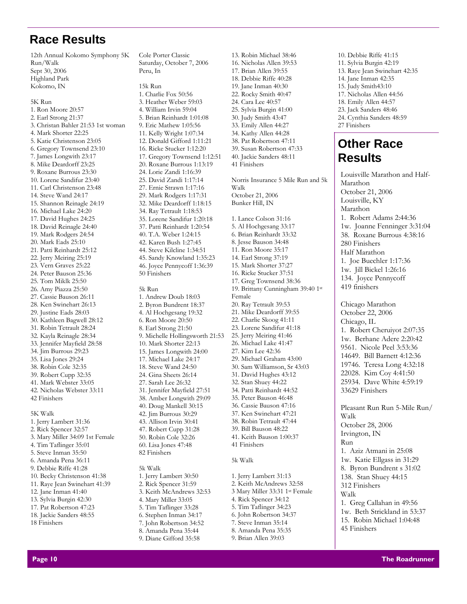# **Race Results**

12th Annual Kokomo Symphony 5K Run/Walk Sept 30, 2006 Highland Park Kokomo, IN

5K Run 1. Ron Moore 20:57 2. Earl Strong 21:37 3. Christan Bahler 21:53 1st woman 4. Mark Shorter 22:25 5. Katie Christenson 23:05 6. Gregory Townsend 23:10 7. James Longwith 23:17 8. Mike Deardorff 23:25 9. Roxane Burrous 23:30 10. Lorene Sandifur 23:40 11. Carl Christenson 23:48 14. Steve Wand 24:17 15. Shannon Reinagle 24:19 16. Michael Lake 24:20 17. David Hughes 24:25 18. David Reinagle 24:40 19. Mark Rodgers 24:54 20. Mark Eads 25:10 21. Patti Reinhardt 25:12 22. Jerry Meiring 25:19 23. Vern Graves 25:22 24. Peter Bauson 25:36 25. Tom Miklk 25:50 26. Amy Piazza 25:50 27. Cassie Bauson 26:11 28. Ken Swinehart 26:13 29. Justine Eads 28:03 30. Kathleen Bagwell 28:12 31. Robin Tetrault 28:24 32. Kayla Reinagle 28:34 33. Jennifer Mayfield 28:58 34. Jim Burrous 29:23 35. Lisa Jones 29:24 38. Robin Cole 32:35 39. Robert Cupp 32:35 41. Mark Webster 33:05 42. Nicholas Webster 33:11 42 Finishers

5K Walk 1. Jerry Lambert 31:36 2. Rick Spencer 32:57 3. Mary Miller 34:09 1st Female 4. Tim Taflinger 35:01 5. Steve Inman 35:50 6. Amanda Pena 36:11 9. Debbie Riffe 41:28 10. Becky Christenson 41:38 11. Raye Jean Swinehart 41:39 12. Jane Inman 41:40 13. Sylvia Burgin 42:30 17. Pat Robertson 47:23 18. Jackie Sanders 48:55 18 Finishers

Cole Porter Classic Saturday, October 7, 2006 Peru, In

#### 15k Run

1. Charlie Fox 50:56 3. Heather Weber 59:03 4. William Irvin 59:04 5. Brian Reinhardt 1:01:08 9. Eric Mathew 1:05:56 11. Kelly Wright 1:07:34 12. Donald Gifford 1:11:21 16. Ricke Stucker 1:12:20 17. Gregory Townsend 1:12:51 20. Roxane Burrous 1:13:19 24. Lorie Zandi 1:16:39 25. David Zandi 1:17:14 27. Ernie Strawn 1:17:16 29. Mark Rodgers 1:17:31 32. Mike Deardorff 1:18:15 34. Ray Tetrault 1:18:53 35. Lorene Sandifur 1:20:18 37. Patti Reinhardt 1:20:54 40. T.A. Weber 1:24:15 42. Karen Bush 1:27:45 44. Steve Kilcline 1:34:51 45. Sandy Knowland 1:35:23 46. Joyce Pennycoff 1:36:39 50 Finishers

#### 5k Run

1. Andrew Doub 18:03 2. Byron Bundrent 18:37 4. Al Hochgesang 19:32 6. Ron Moore 20:50 8. Earl Strong 21:50 9. Michelle Hollingsworth 21:53 10. Mark Shorter 22:13 15. James Longwith 24:00 17. Michael Lake 24:17 18. Steve Wand 24:50 24. Gina Sheets 26:14 27. Sarah Lee 26:32 31. Jennifer Mayfield 27:51 38. Amber Longwith 29:09 40. Doug Mankell 30:15 42. Jim Burrous 30:29 43. Allison Irvin 30:41 47. Robert Cupp 31:28 50. Robin Cole 32:26 60. Lisa Jones 47:48 82 Finishers

#### 5k Walk

1. Jerry Lambert 30:50 2. Rick Spencer 31:59 3. Keith McAndrews 32:53 4. Mary Miller 33:05 5. Tim Taflinger 33:28 6. Stephen Inman 34:17 7. John Robertson 34:52 8. Amanda Pena 35:44 9. Diane Gifford 35:58

17. Brian Allen 39:55 18. Debbie Riffe 40:28 19. Jane Inman 40:30 22. Rocky Smith 40:47 24. Cara Lee 40:57 25. Sylvia Burgin 41:00 30. Judy Smith 43:47 33. Emily Allen 44:27 34. Kathy Allen 44:28 38. Pat Robertson 47:11 39. Susan Robertson 47:33 40. Jackie Sanders 48:11 41 Finishers Norris Insurance 5 Mile Run and 5k Walk October 21, 2006 Bunker Hill, IN 1. Lance Colson 31:16 5. Al Hochgesang 33:17 6. Brian Reinhardt 33:32 8. Jesse Bauson 34:48 11. Ron Moore 35:17 14. Earl Strong 37:19 15. Mark Shorter 37:27 16. Ricke Stucker 37:51 17. Greg Townsend 38:36 19. Brittany Cunningham 39:40 1st Female 20. Ray Tetrault 39:53 21. Mike Deardorff 39:55 22. Charlie Skoog 41:11 23. Lorene Sandifur 41:18 25. Jerry Meiring 41:46 26. Michael Lake 41:47 27. Kim Lee 42:36 29. Michael Graham 43:00 30. Sam Williamson, Sr 43:03 31. David Hughes 43:12 32. Stan Shuey 44:22 34. Patti Reinhardt 44:52 35. Peter Bauson 46:48 36. Cassie Bauson 47:16 37. Ken Swinehart 47:21 38. Robin Tetrault 47:44 39. Bill Bauson 48:22 41. Keith Bauson 1:00:37

13. Robin Michael 38:46 16. Nicholas Allen 39:53

#### 5k Walk

41 Finishers

1. Jerry Lambert 31:13 2. Keith McAndrews 32:58 3 Mary Miller 33:31 1st Female 4. Rick Spencer 34:12 5. Tim Taflinger 34:23 6. John Robertson 34:37 7. Steve Inman 35:14 8. Amanda Pena 35:35 9. Brian Allen 39:03

10. Debbie Riffe 41:15 11. Sylvia Burgin 42:19 13. Raye Jean Swinehart 42:35 14. Jane Inman 42:35 15. Judy Smith43:10 17. Nicholas Allen 44:56 18. Emily Allen 44:57 23. Jack Sanders 48:46 24. Cynthia Sanders 48:59 27 Finishers

# **Other Race Results**

Louisville Marathon and Half-Marathon October 21, 2006 Louisville, KY Marathon 1. Robert Adams 2:44:36 1w. Joanne Fenninger 3:31:04 38. Roxane Burrous 4:38:16 280 Finishers Half Marathon 1. Joe Buechler 1:17:36 1w. Jill Bickel 1:26:16 134. Joyce Pennycoff 419 finishers

Chicago Marathon October 22, 2006 Chicago, IL 1. Robert Cheruiyot 2:07:35 1w. Berhane Adere 2:20:42 9561. Nicole Peel 3:53:36 14649. Bill Barnett 4:12:36 19746. Teresa Long 4:32:18 22028. Kim Coy 4:41:50 25934. Dave White 4:59:19 33629 Finishers

Pleasant Run Run 5-Mile Run/ Walk October 28, 2006 Irvington, IN Run 1. Aziz Atmani in 25:08 1w. Katie Ellgass in 31:29 8. Byron Bundrent s 31:02 138. Stan Shuey 44:15 312 Finishers Walk 1. Greg Callahan in 49:56 1w. Beth Strickland in 53:37 15. Robin Michael 1:04:48 45 Finishers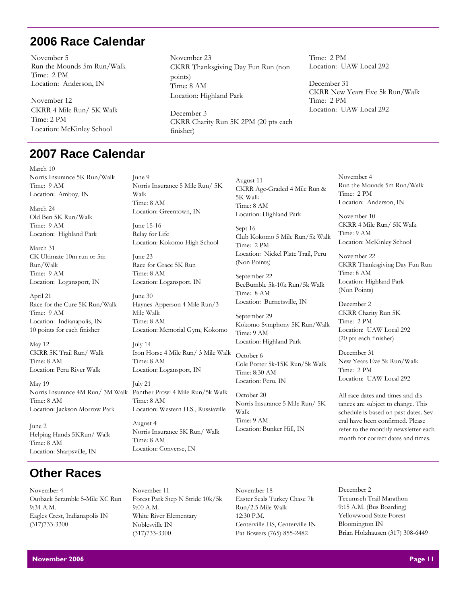# **2006 Race Calendar**

November 5 Run the Mounds 5m Run/Walk Time: 2 PM Location: Anderson, IN

November 12 CKRR 4 Mile Run/ 5K Walk Time: 2 PM Location: McKinley School

# **2007 Race Calendar**

March 10 Norris Insurance 5K Run/Walk Time: 9 AM Location: Amboy, IN

March 24 Old Ben 5K Run/Walk Time: 9 AM Location: Highland Park

March 31 CK Ultimate 10m run or 5m Run/Walk Time: 9 AM Location: Logansport, IN

April 21 Race for the Cure 5K Run/Walk Time: 9 AM Location: Indianapolis, IN 10 points for each finisher

May 12 CKRR 5K Trail Run/ Walk Time: 8 AM Location: Peru River Walk

May 19 Time: 8 AM Location: Jackson Morrow Park

June 2 Helping Hands 5KRun/ Walk Time: 8 AM Location: Sharpsville, IN

# **Other Races**

November 4 Outback Scramble 5-Mile XC Run 9:34 A.M. Eagles Crest, Indianapolis IN (317)733-3300

Walk Time: 8 AM Location: Greentown, IN June 15-16

Norris Insurance 5 Mile Run/ 5K

November 23

December 3

finisher)

Location: Highland Park

points) Time: 8 AM

CKRR Thanksgiving Day Fun Run (non

CKRR Charity Run 5K 2PM (20 pts each

Relay for Life Location: Kokomo High School

June 23 Race for Grace 5K Run Time: 8 AM Location: Logansport, IN

June 9

June 30 Haynes-Apperson 4 Mile Run/3 Mile Walk Time: 8 AM Location: Memorial Gym, Kokomo

July 14 Iron Horse 4 Mile Run/ 3 Mile Walk Time: 8 AM Location: Logansport, IN

July 21 Norris Insurance 4M Run/ 3M Walk Panther Prowl 4 Mile Run/5k Walk Time: 8 AM Location: Western H.S., Russiaville August 4 Norris Insurance 5K Run/ Walk Time: 8 AM

Location: Converse, IN

August 11 CKRR Age-Graded 4 Mile Run & 5K Walk Time: 8 AM Location: Highland Park

Sept 16 Club Kokomo 5 Mile Run/5k Walk Time: 2 PM Location: Nickel Plate Trail, Peru (Non Points)

September 22 BeeBumble 5k-10k Run/5k Walk Time: 8 AM Location: Burnetsville, IN

September 29 Kokomo Symphony 5K Run/Walk Time: 9 AM Location: Highland Park

October 6 Cole Porter 5k-15K Run/5k Walk Time: 8:30 AM Location: Peru, IN

October 20 Norris Insurance 5 Mile Run/ 5K Walk Time: 9 AM Location: Bunker Hill, IN

Time: 2 PM Location: UAW Local 292

December 31 CKRR New Years Eve 5k Run/Walk Time: 2 PM Location: UAW Local 292

> November 4 Run the Mounds 5m Run/Walk Time: 2 PM Location: Anderson, IN

November 10 CKRR 4 Mile Run/ 5K Walk Time: 9 AM Location: McKinley School

November 22 CKRR Thanksgiving Day Fun Run Time: 8 AM Location: Highland Park (Non Points)

December 2 CKRR Charity Run 5K Time: 2 PM Location: UAW Local 292 (20 pts each finisher)

December 31 New Years Eve 5k Run/Walk Time: 2 PM Location: UAW Local 292

All race dates and times and distances are subject to change. This schedule is based on past dates. Several have been confirmed. Please refer to the monthly newsletter each month for correct dates and times.

November 11 Forest Park Step N Stride 10k/5k 9:00 A.M. White River Elementary Noblesville IN (317)733-3300

November 18 Easter Seals Turkey Chase 7k Run/2.5 Mile Walk 12:30 P.M. Centerville HS, Centerville IN Pat Bowers (765) 855-2482

December 2 Tecumseh Trail Marathon 9:15 A.M. (Bus Boarding) Yellowwood State Forest Bloomington IN Brian Holzhausen (317) 308-6449